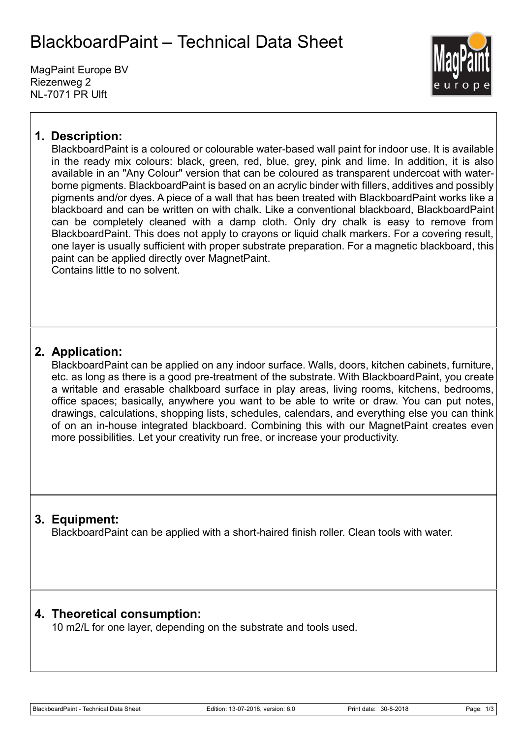# BlackboardPaint – Technical Data Sheet

MagPaint Europe BV Riezenweg 2 NL-7071 PR Ulft



### **1. Description:**

BlackboardPaint is a coloured or colourable water-based wall paint for indoor use. It is available in the ready mix colours: black, green, red, blue, grey, pink and lime. In addition, it is also available in an "Any Colour" version that can be coloured as transparent undercoat with waterborne pigments. BlackboardPaint is based on an acrylic binder with fillers, additives and possibly pigments and/or dyes. A piece of a wall that has been treated with BlackboardPaint works like a blackboard and can be written on with chalk. Like a conventional blackboard, BlackboardPaint can be completely cleaned with a damp cloth. Only dry chalk is easy to remove from BlackboardPaint. This does not apply to crayons or liquid chalk markers. For a covering result, one layer is usually sufficient with proper substrate preparation. For a magnetic blackboard, this paint can be applied directly over MagnetPaint. Contains little to no solvent.

### **2. Application:**

BlackboardPaint can be applied on any indoor surface. Walls, doors, kitchen cabinets, furniture, etc. as long as there is a good pre-treatment of the substrate. With BlackboardPaint, you create a writable and erasable chalkboard surface in play areas, living rooms, kitchens, bedrooms, office spaces; basically, anywhere you want to be able to write or draw. You can put notes, drawings, calculations, shopping lists, schedules, calendars, and everything else you can think of on an in-house integrated blackboard. Combining this with our MagnetPaint creates even more possibilities. Let your creativity run free, or increase your productivity.

### **3. Equipment:**

BlackboardPaint can be applied with a short-haired finish roller. Clean tools with water.

#### **4. Theoretical consumption:**

10 m2/L for one layer, depending on the substrate and tools used.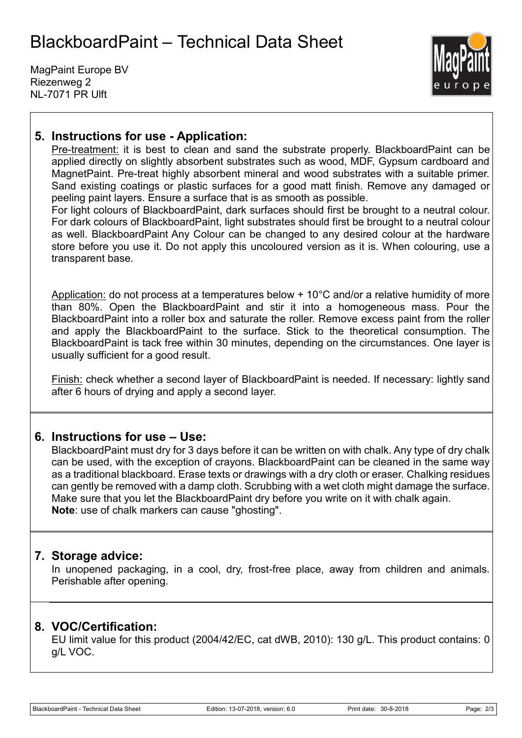# BlackboardPaint – Technical Data Sheet

MagPaint Europe BV Riezenweg 2 NL-7071 PR Ulft



#### **5. Instructions for use - Application:**

Pre-treatment: it is best to clean and sand the substrate properly. BlackboardPaint can be applied directly on slightly absorbent substrates such as wood, MDF, Gypsum cardboard and MagnetPaint. Pre-treat highly absorbent mineral and wood substrates with a suitable primer. Sand existing coatings or plastic surfaces for a good matt finish. Remove any damaged or peeling paint layers. Ensure a surface that is as smooth as possible.

For light colours of BlackboardPaint, dark surfaces should first be brought to a neutral colour. For dark colours of BlackboardPaint, light substrates should first be brought to a neutral colour as well. BlackboardPaint Any Colour can be changed to any desired colour at the hardware store before you use it. Do not apply this uncoloured version as it is. When colouring, use a transparent base.

Application: do not process at a temperatures below + 10°C and/or a relative humidity of more than 80%. Open the BlackboardPaint and stir it into a homogeneous mass. Pour the BlackboardPaint into a roller box and saturate the roller. Remove excess paint from the roller and apply the BlackboardPaint to the surface. Stick to the theoretical consumption. The BlackboardPaint is tack free within 30 minutes, depending on the circumstances. One layer is usually sufficient for a good result.

Finish: check whether a second layer of BlackboardPaint is needed. If necessary: lightly sand after 6 hours of drying and apply a second layer.

#### **6. Instructions for use – Use:**

BlackboardPaint must dry for 3 days before it can be written on with chalk. Any type of dry chalk can be used, with the exception of crayons. BlackboardPaint can be cleaned in the same way as a traditional blackboard. Erase texts or drawings with a dry cloth or eraser. Chalking residues can gently be removed with a damp cloth. Scrubbing with a wet cloth might damage the surface. Make sure that you let the BlackboardPaint dry before you write on it with chalk again. **Note**: use of chalk markers can cause "ghosting".

#### **7. Storage advice:**

In unopened packaging, in a cool, dry, frost-free place, away from children and animals. Perishable after opening.

#### **8. VOC/Certification:**

EU limit value for this product (2004/42/EC, cat dWB, 2010): 130 g/L. This product contains: 0 g/L VOC.